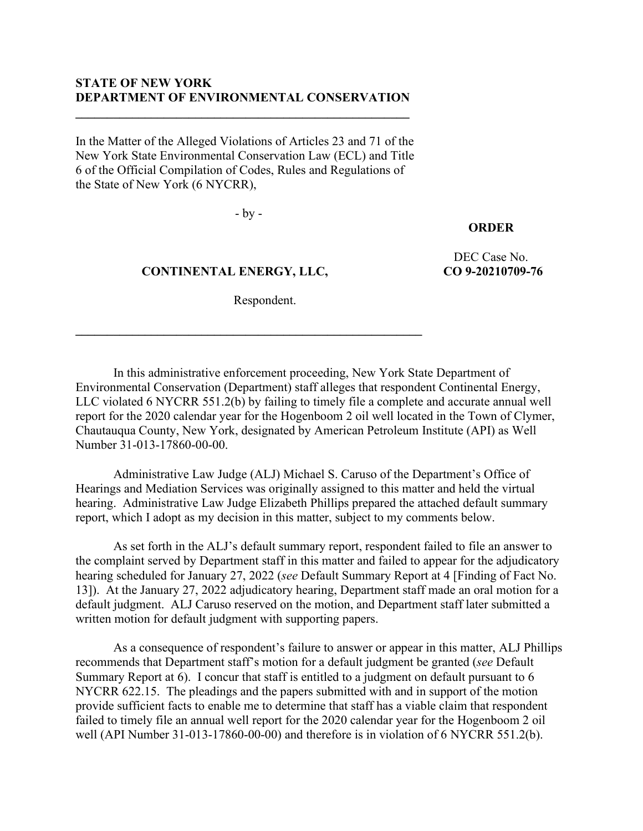# **STATE OF NEW YORK DEPARTMENT OF ENVIRONMENTAL CONSERVATION**

**\_\_\_\_\_\_\_\_\_\_\_\_\_\_\_\_\_\_\_\_\_\_\_\_\_\_\_\_\_\_\_\_\_\_\_\_\_\_\_\_\_\_\_\_\_\_\_\_\_\_\_\_\_**

In the Matter of the Alleged Violations of Articles 23 and 71 of the New York State Environmental Conservation Law (ECL) and Title 6 of the Official Compilation of Codes, Rules and Regulations of the State of New York (6 NYCRR),

- by -

# **ORDER**

 **CONTINENTAL ENERGY, LLC,**

**\_\_\_\_\_\_\_\_\_\_\_\_\_\_\_\_\_\_\_\_\_\_\_\_\_\_\_\_\_\_\_\_\_\_\_\_\_\_\_\_\_\_\_\_\_\_\_\_\_\_\_\_\_\_\_**

DEC Case No. **CO 9-20210709-76**

Respondent.

In this administrative enforcement proceeding, New York State Department of Environmental Conservation (Department) staff alleges that respondent Continental Energy, LLC violated 6 NYCRR 551.2(b) by failing to timely file a complete and accurate annual well report for the 2020 calendar year for the Hogenboom 2 oil well located in the Town of Clymer, Chautauqua County, New York, designated by American Petroleum Institute (API) as Well Number 31-013-17860-00-00.

Administrative Law Judge (ALJ) Michael S. Caruso of the Department's Office of Hearings and Mediation Services was originally assigned to this matter and held the virtual hearing. Administrative Law Judge Elizabeth Phillips prepared the attached default summary report, which I adopt as my decision in this matter, subject to my comments below.

As set forth in the ALJ's default summary report, respondent failed to file an answer to the complaint served by Department staff in this matter and failed to appear for the adjudicatory hearing scheduled for January 27, 2022 (*see* Default Summary Report at 4 [Finding of Fact No. 13]). At the January 27, 2022 adjudicatory hearing, Department staff made an oral motion for a default judgment. ALJ Caruso reserved on the motion, and Department staff later submitted a written motion for default judgment with supporting papers.

As a consequence of respondent's failure to answer or appear in this matter, ALJ Phillips recommends that Department staff's motion for a default judgment be granted (*see* Default Summary Report at 6). I concur that staff is entitled to a judgment on default pursuant to 6 NYCRR 622.15. The pleadings and the papers submitted with and in support of the motion provide sufficient facts to enable me to determine that staff has a viable claim that respondent failed to timely file an annual well report for the 2020 calendar year for the Hogenboom 2 oil well (API Number 31-013-17860-00-00) and therefore is in violation of 6 NYCRR 551.2(b).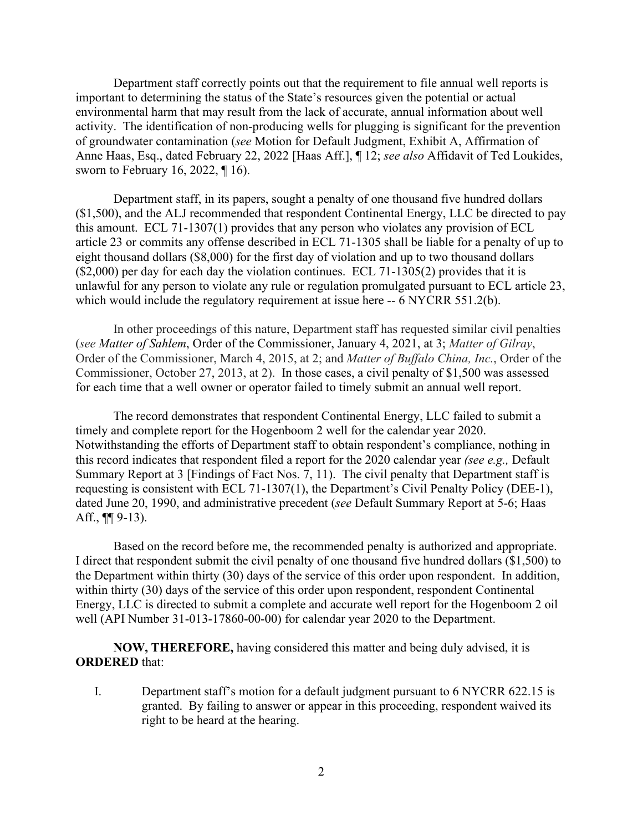Department staff correctly points out that the requirement to file annual well reports is important to determining the status of the State's resources given the potential or actual environmental harm that may result from the lack of accurate, annual information about well activity. The identification of non-producing wells for plugging is significant for the prevention of groundwater contamination (*see* Motion for Default Judgment, Exhibit A, Affirmation of Anne Haas, Esq., dated February 22, 2022 [Haas Aff.], ¶ 12; *see also* Affidavit of Ted Loukides, sworn to February 16, 2022, ¶ 16).

Department staff, in its papers, sought a penalty of one thousand five hundred dollars (\$1,500), and the ALJ recommended that respondent Continental Energy, LLC be directed to pay this amount. ECL 71-1307(1) provides that any person who violates any provision of ECL article 23 or commits any offense described in ECL 71-1305 shall be liable for a penalty of up to eight thousand dollars (\$8,000) for the first day of violation and up to two thousand dollars (\$2,000) per day for each day the violation continues. ECL 71-1305(2) provides that it is unlawful for any person to violate any rule or regulation promulgated pursuant to ECL article 23, which would include the regulatory requirement at issue here -- 6 NYCRR 551.2(b).

In other proceedings of this nature, Department staff has requested similar civil penalties (*see Matter of Sahlem*, Order of the Commissioner, January 4, 2021, at 3; *Matter of Gilray*, Order of the Commissioner, March 4, 2015, at 2; and *Matter of Buffalo China, Inc.*, Order of the Commissioner, October 27, 2013, at 2). In those cases, a civil penalty of \$1,500 was assessed for each time that a well owner or operator failed to timely submit an annual well report.

The record demonstrates that respondent Continental Energy, LLC failed to submit a timely and complete report for the Hogenboom 2 well for the calendar year 2020. Notwithstanding the efforts of Department staff to obtain respondent's compliance, nothing in this record indicates that respondent filed a report for the 2020 calendar year *(see e.g.,* Default Summary Report at 3 [Findings of Fact Nos. 7, 11). The civil penalty that Department staff is requesting is consistent with ECL 71-1307(1), the Department's Civil Penalty Policy (DEE-1), dated June 20, 1990, and administrative precedent (*see* Default Summary Report at 5-6; Haas Aff., ¶¶ 9-13).

Based on the record before me, the recommended penalty is authorized and appropriate. I direct that respondent submit the civil penalty of one thousand five hundred dollars (\$1,500) to the Department within thirty (30) days of the service of this order upon respondent. In addition, within thirty (30) days of the service of this order upon respondent, respondent Continental Energy, LLC is directed to submit a complete and accurate well report for the Hogenboom 2 oil well (API Number 31-013-17860-00-00) for calendar year 2020 to the Department.

**NOW, THEREFORE,** having considered this matter and being duly advised, it is **ORDERED** that:

I. Department staff's motion for a default judgment pursuant to 6 NYCRR 622.15 is granted. By failing to answer or appear in this proceeding, respondent waived its right to be heard at the hearing.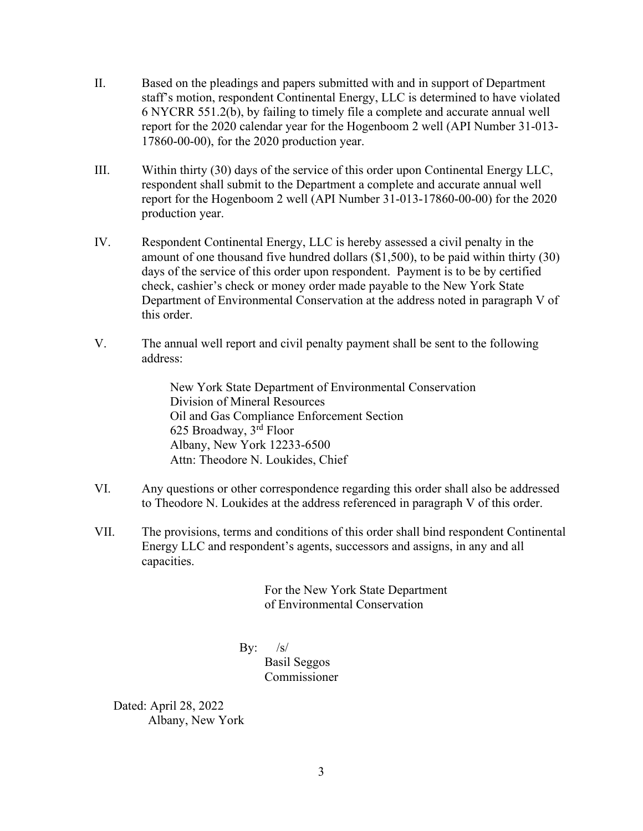- II. Based on the pleadings and papers submitted with and in support of Department staff's motion, respondent Continental Energy, LLC is determined to have violated 6 NYCRR 551.2(b), by failing to timely file a complete and accurate annual well report for the 2020 calendar year for the Hogenboom 2 well (API Number 31-013- 17860-00-00), for the 2020 production year.
- III. Within thirty (30) days of the service of this order upon Continental Energy LLC, respondent shall submit to the Department a complete and accurate annual well report for the Hogenboom 2 well (API Number 31-013-17860-00-00) for the 2020 production year.
- IV. Respondent Continental Energy, LLC is hereby assessed a civil penalty in the amount of one thousand five hundred dollars (\$1,500), to be paid within thirty (30) days of the service of this order upon respondent. Payment is to be by certified check, cashier's check or money order made payable to the New York State Department of Environmental Conservation at the address noted in paragraph V of this order.
- V. The annual well report and civil penalty payment shall be sent to the following address:

New York State Department of Environmental Conservation Division of Mineral Resources Oil and Gas Compliance Enforcement Section 625 Broadway, 3rd Floor Albany, New York 12233-6500 Attn: Theodore N. Loukides, Chief

- VI. Any questions or other correspondence regarding this order shall also be addressed to Theodore N. Loukides at the address referenced in paragraph V of this order.
- VII. The provisions, terms and conditions of this order shall bind respondent Continental Energy LLC and respondent's agents, successors and assigns, in any and all capacities.

For the New York State Department of Environmental Conservation

By:  $/s/$ 

Basil Seggos Commissioner

Dated: April 28, 2022 Albany, New York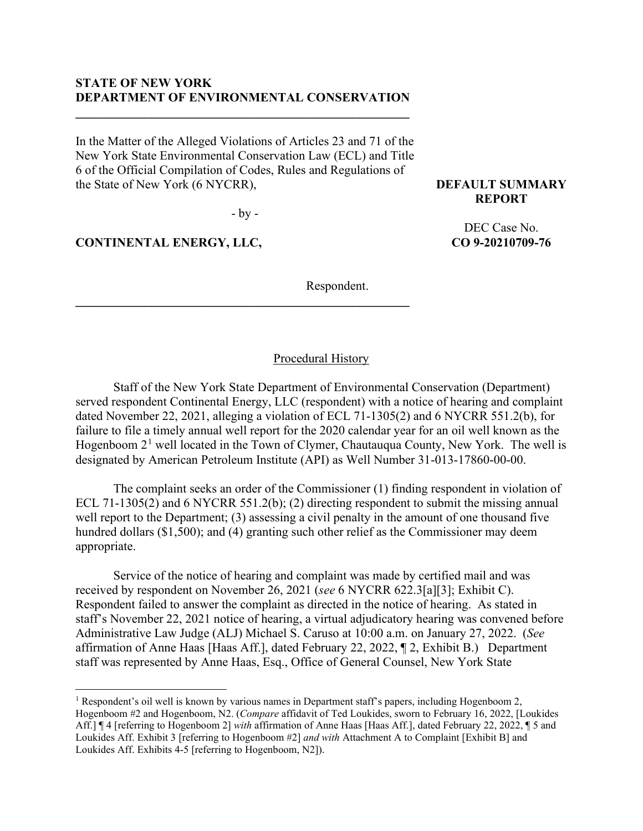## **STATE OF NEW YORK DEPARTMENT OF ENVIRONMENTAL CONSERVATION**

**\_\_\_\_\_\_\_\_\_\_\_\_\_\_\_\_\_\_\_\_\_\_\_\_\_\_\_\_\_\_\_\_\_\_\_\_\_\_\_\_\_\_\_\_\_\_\_\_\_\_\_\_\_**

In the Matter of the Alleged Violations of Articles 23 and 71 of the New York State Environmental Conservation Law (ECL) and Title 6 of the Official Compilation of Codes, Rules and Regulations of the State of New York (6 NYCRR),

- by -

**\_\_\_\_\_\_\_\_\_\_\_\_\_\_\_\_\_\_\_\_\_\_\_\_\_\_\_\_\_\_\_\_\_\_\_\_\_\_\_\_\_\_\_\_\_\_\_\_\_\_\_\_\_**

**CONTINENTAL ENERGY, LLC,**

**DEFAULT SUMMARY REPORT**

> DEC Case No. **CO 9-20210709-76**

Respondent.

# Procedural History

Staff of the New York State Department of Environmental Conservation (Department) served respondent Continental Energy, LLC (respondent) with a notice of hearing and complaint dated November 22, 2021, alleging a violation of ECL 71-1305(2) and 6 NYCRR 551.2(b), for failure to file a timely annual well report for the 2020 calendar year for an oil well known as the Hogenboom  $2<sup>1</sup>$  $2<sup>1</sup>$  $2<sup>1</sup>$  well located in the Town of Clymer, Chautauqua County, New York. The well is designated by American Petroleum Institute (API) as Well Number 31-013-17860-00-00.

The complaint seeks an order of the Commissioner (1) finding respondent in violation of ECL 71-1305(2) and 6 NYCRR 551.2(b); (2) directing respondent to submit the missing annual well report to the Department; (3) assessing a civil penalty in the amount of one thousand five hundred dollars (\$1,500); and (4) granting such other relief as the Commissioner may deem appropriate.

Service of the notice of hearing and complaint was made by certified mail and was received by respondent on November 26, 2021 (*see* 6 NYCRR 622.3[a][3]; Exhibit C). Respondent failed to answer the complaint as directed in the notice of hearing. As stated in staff's November 22, 2021 notice of hearing, a virtual adjudicatory hearing was convened before Administrative Law Judge (ALJ) Michael S. Caruso at 10:00 a.m. on January 27, 2022. (*See* affirmation of Anne Haas [Haas Aff.], dated February 22, 2022, ¶ 2, Exhibit B.) Department staff was represented by Anne Haas, Esq., Office of General Counsel, New York State

<span id="page-3-0"></span><sup>&</sup>lt;sup>1</sup> Respondent's oil well is known by various names in Department staff's papers, including Hogenboom 2, Hogenboom #2 and Hogenboom, N2. (*Compare* affidavit of Ted Loukides, sworn to February 16, 2022, [Loukides Aff.] ¶ 4 [referring to Hogenboom 2] *with* affirmation of Anne Haas [Haas Aff.], dated February 22, 2022, ¶ 5 and Loukides Aff. Exhibit 3 [referring to Hogenboom #2] *and with* Attachment A to Complaint [Exhibit B] and Loukides Aff. Exhibits 4-5 [referring to Hogenboom, N2]).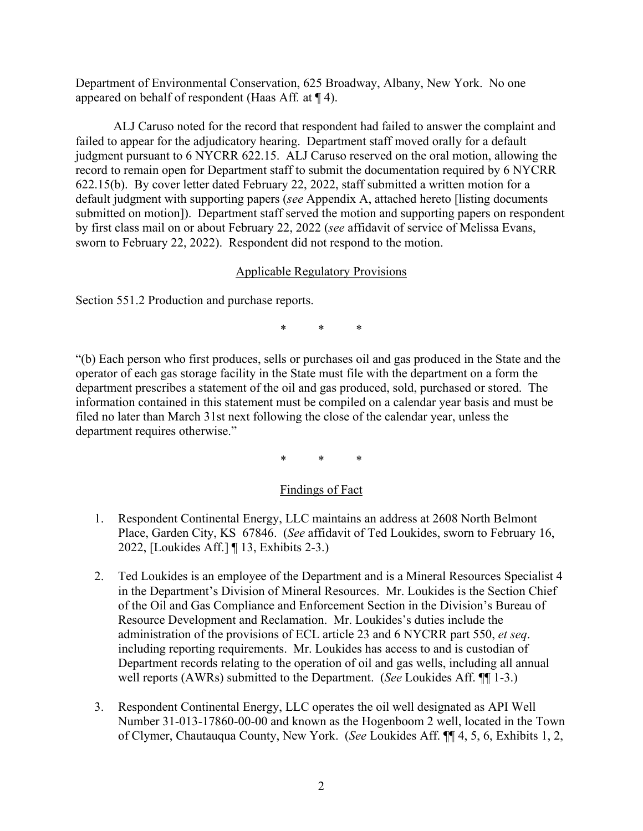Department of Environmental Conservation, 625 Broadway, Albany, New York. No one appeared on behalf of respondent (Haas Aff*.* at ¶ 4).

ALJ Caruso noted for the record that respondent had failed to answer the complaint and failed to appear for the adjudicatory hearing. Department staff moved orally for a default judgment pursuant to 6 NYCRR 622.15. ALJ Caruso reserved on the oral motion, allowing the record to remain open for Department staff to submit the documentation required by 6 NYCRR 622.15(b). By cover letter dated February 22, 2022, staff submitted a written motion for a default judgment with supporting papers (*see* Appendix A, attached hereto [listing documents submitted on motion]). Department staff served the motion and supporting papers on respondent by first class mail on or about February 22, 2022 (*see* affidavit of service of Melissa Evans, sworn to February 22, 2022). Respondent did not respond to the motion.

# Applicable Regulatory Provisions

Section 551.2 Production and purchase reports.

\* \* \*

"(b) Each person who first produces, sells or purchases oil and gas produced in the State and the operator of each gas storage facility in the State must file with the department on a form the department prescribes a statement of the oil and gas produced, sold, purchased or stored. The information contained in this statement must be compiled on a calendar year basis and must be filed no later than March 31st next following the close of the calendar year, unless the department requires otherwise."

\* \* \*

# Findings of Fact

- 1. Respondent Continental Energy, LLC maintains an address at 2608 North Belmont Place, Garden City, KS 67846. (*See* affidavit of Ted Loukides, sworn to February 16, 2022, [Loukides Aff.] ¶ 13, Exhibits 2-3.)
- 2. Ted Loukides is an employee of the Department and is a Mineral Resources Specialist 4 in the Department's Division of Mineral Resources. Mr. Loukides is the Section Chief of the Oil and Gas Compliance and Enforcement Section in the Division's Bureau of Resource Development and Reclamation. Mr. Loukides's duties include the administration of the provisions of ECL article 23 and 6 NYCRR part 550, *et seq*. including reporting requirements. Mr. Loukides has access to and is custodian of Department records relating to the operation of oil and gas wells, including all annual well reports (AWRs) submitted to the Department. (*See* Loukides Aff. ¶¶ 1-3.)
- 3. Respondent Continental Energy, LLC operates the oil well designated as API Well Number 31-013-17860-00-00 and known as the Hogenboom 2 well, located in the Town of Clymer, Chautauqua County, New York. (*See* Loukides Aff. ¶¶ 4, 5, 6, Exhibits 1, 2,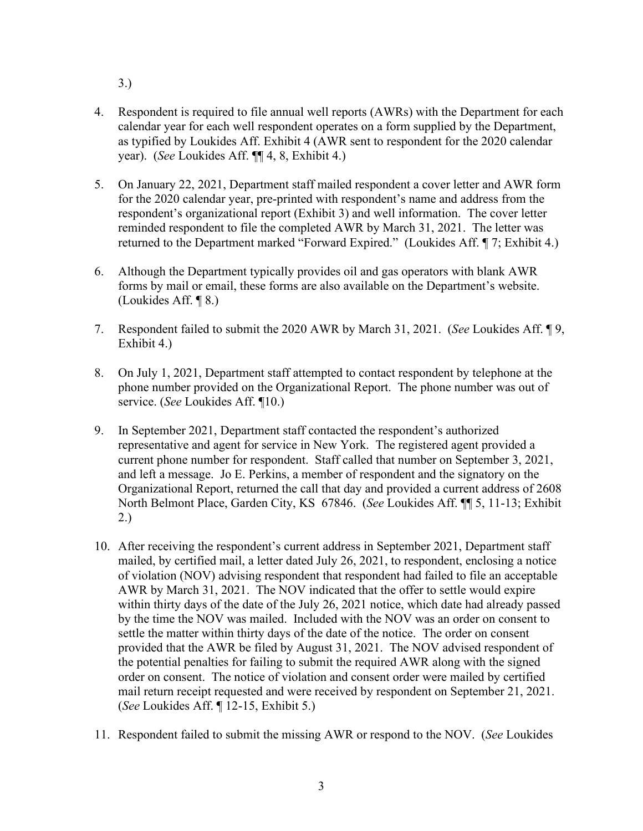- 3.)
- 4. Respondent is required to file annual well reports (AWRs) with the Department for each calendar year for each well respondent operates on a form supplied by the Department, as typified by Loukides Aff. Exhibit 4 (AWR sent to respondent for the 2020 calendar year). (*See* Loukides Aff. ¶¶ 4, 8, Exhibit 4.)
- 5. On January 22, 2021, Department staff mailed respondent a cover letter and AWR form for the 2020 calendar year, pre-printed with respondent's name and address from the respondent's organizational report (Exhibit 3) and well information. The cover letter reminded respondent to file the completed AWR by March 31, 2021. The letter was returned to the Department marked "Forward Expired." (Loukides Aff. ¶ 7; Exhibit 4.)
- 6. Although the Department typically provides oil and gas operators with blank AWR forms by mail or email, these forms are also available on the Department's website. (Loukides Aff. ¶ 8.)
- 7. Respondent failed to submit the 2020 AWR by March 31, 2021. (*See* Loukides Aff. ¶ 9, Exhibit 4.)
- 8. On July 1, 2021, Department staff attempted to contact respondent by telephone at the phone number provided on the Organizational Report. The phone number was out of service. (*See* Loukides Aff. ¶10.)
- 9. In September 2021, Department staff contacted the respondent's authorized representative and agent for service in New York. The registered agent provided a current phone number for respondent. Staff called that number on September 3, 2021, and left a message. Jo E. Perkins, a member of respondent and the signatory on the Organizational Report, returned the call that day and provided a current address of 2608 North Belmont Place, Garden City, KS 67846. (*See* Loukides Aff. ¶¶ 5, 11-13; Exhibit 2.)
- 10. After receiving the respondent's current address in September 2021, Department staff mailed, by certified mail, a letter dated July 26, 2021, to respondent, enclosing a notice of violation (NOV) advising respondent that respondent had failed to file an acceptable AWR by March 31, 2021. The NOV indicated that the offer to settle would expire within thirty days of the date of the July 26, 2021 notice, which date had already passed by the time the NOV was mailed. Included with the NOV was an order on consent to settle the matter within thirty days of the date of the notice. The order on consent provided that the AWR be filed by August 31, 2021. The NOV advised respondent of the potential penalties for failing to submit the required AWR along with the signed order on consent. The notice of violation and consent order were mailed by certified mail return receipt requested and were received by respondent on September 21, 2021. (*See* Loukides Aff. ¶ 12-15, Exhibit 5.)
- 11. Respondent failed to submit the missing AWR or respond to the NOV. (*See* Loukides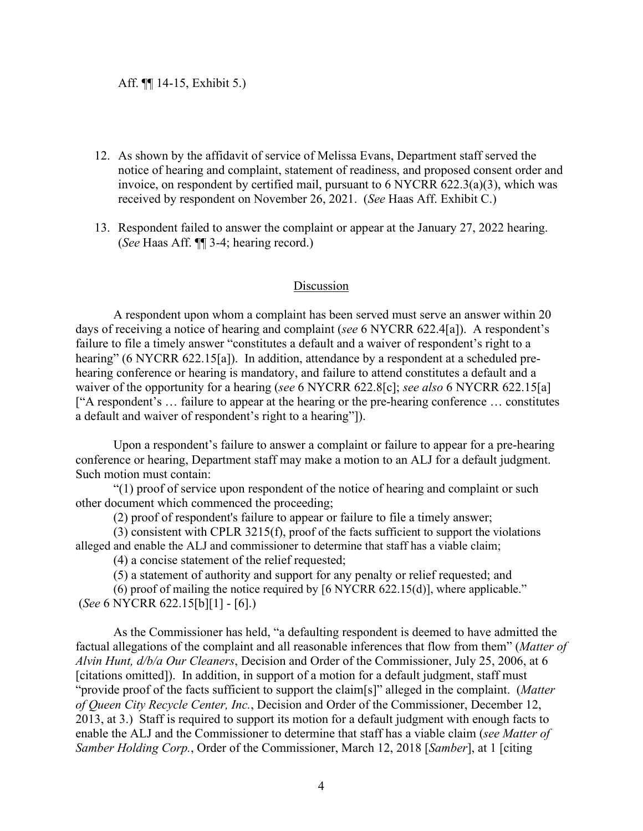- 12. As shown by the affidavit of service of Melissa Evans, Department staff served the notice of hearing and complaint, statement of readiness, and proposed consent order and invoice, on respondent by certified mail, pursuant to 6 NYCRR 622.3(a)(3), which was received by respondent on November 26, 2021. (*See* Haas Aff. Exhibit C.)
- 13. Respondent failed to answer the complaint or appear at the January 27, 2022 hearing. (*See* Haas Aff. ¶¶ 3-4; hearing record.)

#### Discussion

A respondent upon whom a complaint has been served must serve an answer within 20 days of receiving a notice of hearing and complaint (*see* 6 NYCRR 622.4[a]). A respondent's failure to file a timely answer "constitutes a default and a waiver of respondent's right to a hearing" (6 NYCRR 622.15[a]). In addition, attendance by a respondent at a scheduled prehearing conference or hearing is mandatory, and failure to attend constitutes a default and a waiver of the opportunity for a hearing (*see* 6 NYCRR 622.8[c]; *see also* 6 NYCRR 622.15[a] ["A respondent's … failure to appear at the hearing or the pre-hearing conference … constitutes a default and waiver of respondent's right to a hearing"]).

Upon a respondent's failure to answer a complaint or failure to appear for a pre-hearing conference or hearing, Department staff may make a motion to an ALJ for a default judgment. Such motion must contain:

"(1) proof of service upon respondent of the notice of hearing and complaint or such other document which commenced the proceeding;

(2) proof of respondent's failure to appear or failure to file a timely answer;

(3) consistent with CPLR 3215(f), proof of the facts sufficient to support the violations alleged and enable the ALJ and commissioner to determine that staff has a viable claim;

(4) a concise statement of the relief requested;

(5) a statement of authority and support for any penalty or relief requested; and

(6) proof of mailing the notice required by [6 NYCRR 622.15(d)], where applicable." (*See* 6 NYCRR 622.15[b][1] - [6].)

As the Commissioner has held, "a defaulting respondent is deemed to have admitted the factual allegations of the complaint and all reasonable inferences that flow from them" (*Matter of Alvin Hunt, d/b/a Our Cleaners*, Decision and Order of the Commissioner, July 25, 2006, at 6 [citations omitted]). In addition, in support of a motion for a default judgment, staff must "provide proof of the facts sufficient to support the claim[s]" alleged in the complaint. (*Matter of Queen City Recycle Center, Inc.*, Decision and Order of the Commissioner, December 12, 2013, at 3.) Staff is required to support its motion for a default judgment with enough facts to enable the ALJ and the Commissioner to determine that staff has a viable claim (*see Matter of Samber Holding Corp.*, Order of the Commissioner, March 12, 2018 [*Samber*], at 1 [citing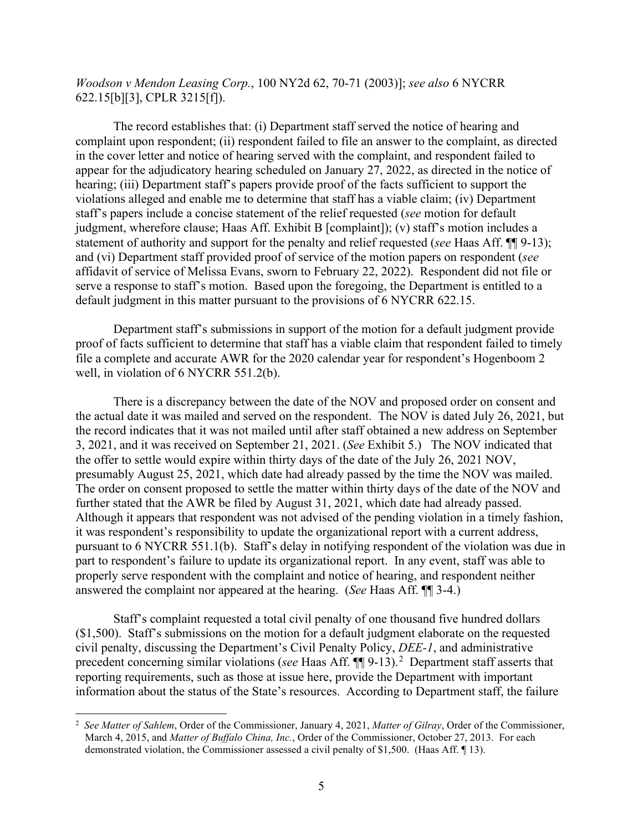*Woodson v Mendon Leasing Corp.*, 100 NY2d 62, 70-71 (2003)]; *see also* 6 NYCRR 622.15[b][3], CPLR 3215[f]).

The record establishes that: (i) Department staff served the notice of hearing and complaint upon respondent; (ii) respondent failed to file an answer to the complaint, as directed in the cover letter and notice of hearing served with the complaint, and respondent failed to appear for the adjudicatory hearing scheduled on January 27, 2022, as directed in the notice of hearing; (iii) Department staff's papers provide proof of the facts sufficient to support the violations alleged and enable me to determine that staff has a viable claim; (iv) Department staff's papers include a concise statement of the relief requested (*see* motion for default judgment, wherefore clause; Haas Aff. Exhibit B [complaint]); (v) staff's motion includes a statement of authority and support for the penalty and relief requested (*see* Haas Aff. ¶¶ 9-13); and (vi) Department staff provided proof of service of the motion papers on respondent (*see* affidavit of service of Melissa Evans, sworn to February 22, 2022). Respondent did not file or serve a response to staff's motion. Based upon the foregoing, the Department is entitled to a default judgment in this matter pursuant to the provisions of 6 NYCRR 622.15.

Department staff's submissions in support of the motion for a default judgment provide proof of facts sufficient to determine that staff has a viable claim that respondent failed to timely file a complete and accurate AWR for the 2020 calendar year for respondent's Hogenboom 2 well, in violation of 6 NYCRR 551.2(b).

There is a discrepancy between the date of the NOV and proposed order on consent and the actual date it was mailed and served on the respondent. The NOV is dated July 26, 2021, but the record indicates that it was not mailed until after staff obtained a new address on September 3, 2021, and it was received on September 21, 2021. (*See* Exhibit 5.) The NOV indicated that the offer to settle would expire within thirty days of the date of the July 26, 2021 NOV, presumably August 25, 2021, which date had already passed by the time the NOV was mailed. The order on consent proposed to settle the matter within thirty days of the date of the NOV and further stated that the AWR be filed by August 31, 2021, which date had already passed. Although it appears that respondent was not advised of the pending violation in a timely fashion, it was respondent's responsibility to update the organizational report with a current address, pursuant to 6 NYCRR 551.1(b). Staff's delay in notifying respondent of the violation was due in part to respondent's failure to update its organizational report. In any event, staff was able to properly serve respondent with the complaint and notice of hearing, and respondent neither answered the complaint nor appeared at the hearing. (*See* Haas Aff. ¶¶ 3-4.)

Staff's complaint requested a total civil penalty of one thousand five hundred dollars (\$1,500). Staff's submissions on the motion for a default judgment elaborate on the requested civil penalty, discussing the Department's Civil Penalty Policy, *DEE-1*, and administrative precedent concerning similar violations (*see* Haas Aff.  $\P$ ] 9-13).<sup>[2](#page-7-0)</sup> Department staff asserts that reporting requirements, such as those at issue here, provide the Department with important information about the status of the State's resources. According to Department staff, the failure

<span id="page-7-0"></span><sup>2</sup> *See Matter of Sahlem*, Order of the Commissioner, January 4, 2021, *Matter of Gilray*, Order of the Commissioner, March 4, 2015, and *Matter of Buffalo China, Inc.*, Order of the Commissioner, October 27, 2013. For each demonstrated violation, the Commissioner assessed a civil penalty of \$1,500. (Haas Aff. ¶ 13).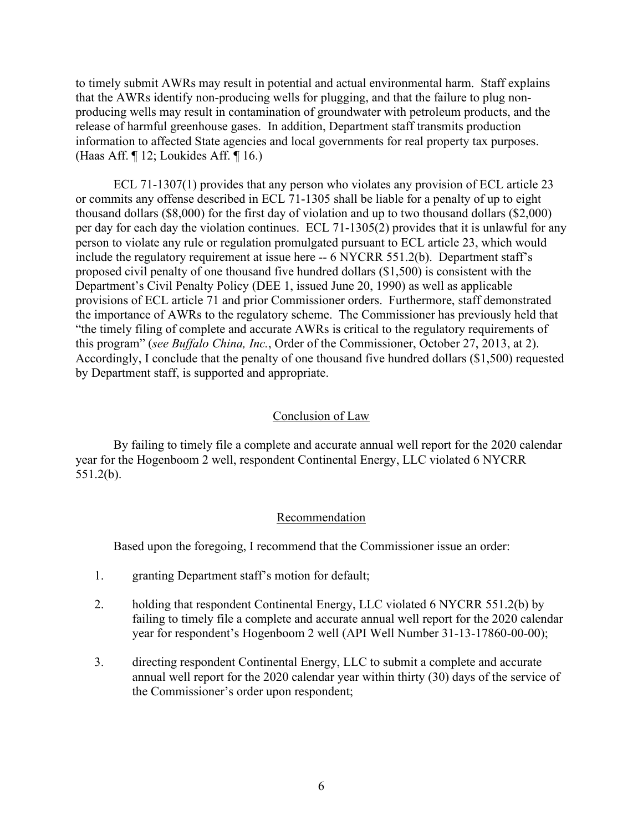to timely submit AWRs may result in potential and actual environmental harm. Staff explains that the AWRs identify non-producing wells for plugging, and that the failure to plug nonproducing wells may result in contamination of groundwater with petroleum products, and the release of harmful greenhouse gases. In addition, Department staff transmits production information to affected State agencies and local governments for real property tax purposes. (Haas Aff. ¶ 12; Loukides Aff. ¶ 16.)

ECL 71-1307(1) provides that any person who violates any provision of ECL article 23 or commits any offense described in ECL 71-1305 shall be liable for a penalty of up to eight thousand dollars (\$8,000) for the first day of violation and up to two thousand dollars (\$2,000) per day for each day the violation continues. ECL 71-1305(2) provides that it is unlawful for any person to violate any rule or regulation promulgated pursuant to ECL article 23, which would include the regulatory requirement at issue here -- 6 NYCRR 551.2(b). Department staff's proposed civil penalty of one thousand five hundred dollars (\$1,500) is consistent with the Department's Civil Penalty Policy (DEE 1, issued June 20, 1990) as well as applicable provisions of ECL article 71 and prior Commissioner orders. Furthermore, staff demonstrated the importance of AWRs to the regulatory scheme. The Commissioner has previously held that "the timely filing of complete and accurate AWRs is critical to the regulatory requirements of this program" (*see Buffalo China, Inc.*, Order of the Commissioner, October 27, 2013, at 2). Accordingly, I conclude that the penalty of one thousand five hundred dollars (\$1,500) requested by Department staff, is supported and appropriate.

#### Conclusion of Law

By failing to timely file a complete and accurate annual well report for the 2020 calendar year for the Hogenboom 2 well, respondent Continental Energy, LLC violated 6 NYCRR 551.2(b).

#### Recommendation

Based upon the foregoing, I recommend that the Commissioner issue an order:

- 1. granting Department staff's motion for default;
- 2. holding that respondent Continental Energy, LLC violated 6 NYCRR 551.2(b) by failing to timely file a complete and accurate annual well report for the 2020 calendar year for respondent's Hogenboom 2 well (API Well Number 31-13-17860-00-00);
- 3. directing respondent Continental Energy, LLC to submit a complete and accurate annual well report for the 2020 calendar year within thirty (30) days of the service of the Commissioner's order upon respondent;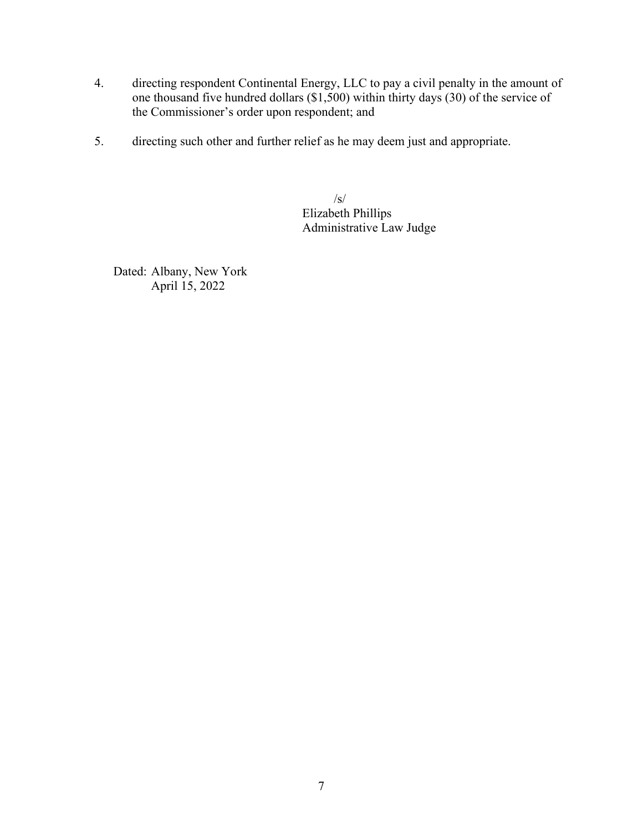- 4. directing respondent Continental Energy, LLC to pay a civil penalty in the amount of one thousand five hundred dollars (\$1,500) within thirty days (30) of the service of the Commissioner's order upon respondent; and
- 5. directing such other and further relief as he may deem just and appropriate.

 /s/ Elizabeth Phillips Administrative Law Judge

Dated: Albany, New York April 15, 2022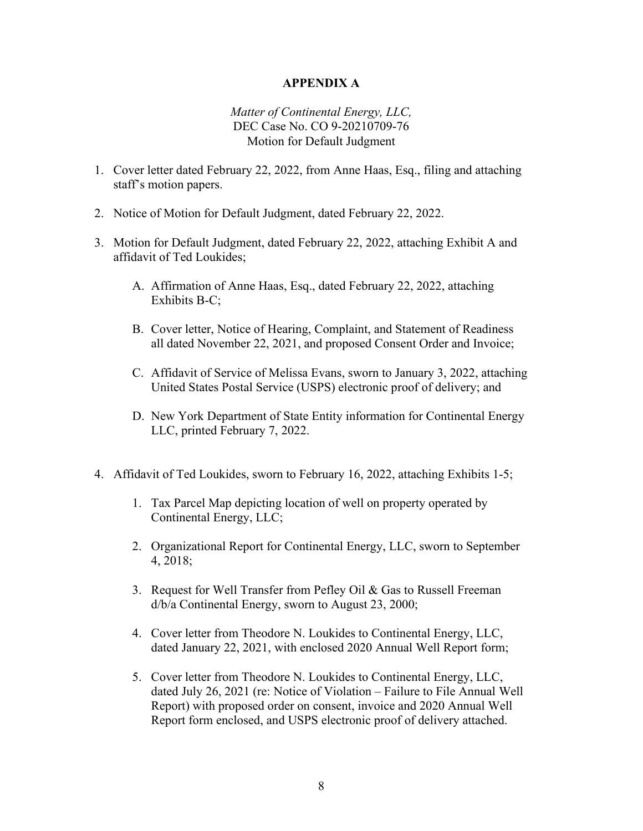## **APPENDIX A**

# *Matter of Continental Energy, LLC,* DEC Case No. CO 9-20210709-76 Motion for Default Judgment

- 1. Cover letter dated February 22, 2022, from Anne Haas, Esq., filing and attaching staff's motion papers.
- 2. Notice of Motion for Default Judgment, dated February 22, 2022.
- 3. Motion for Default Judgment, dated February 22, 2022, attaching Exhibit A and affidavit of Ted Loukides;
	- A. Affirmation of Anne Haas, Esq., dated February 22, 2022, attaching Exhibits B-C;
	- B. Cover letter, Notice of Hearing, Complaint, and Statement of Readiness all dated November 22, 2021, and proposed Consent Order and Invoice;
	- C. Affidavit of Service of Melissa Evans, sworn to January 3, 2022, attaching United States Postal Service (USPS) electronic proof of delivery; and
	- D. New York Department of State Entity information for Continental Energy LLC, printed February 7, 2022.
- 4. Affidavit of Ted Loukides, sworn to February 16, 2022, attaching Exhibits 1-5;
	- 1. Tax Parcel Map depicting location of well on property operated by Continental Energy, LLC;
	- 2. Organizational Report for Continental Energy, LLC, sworn to September 4, 2018;
	- 3. Request for Well Transfer from Pefley Oil & Gas to Russell Freeman d/b/a Continental Energy, sworn to August 23, 2000;
	- 4. Cover letter from Theodore N. Loukides to Continental Energy, LLC, dated January 22, 2021, with enclosed 2020 Annual Well Report form;
	- 5. Cover letter from Theodore N. Loukides to Continental Energy, LLC, dated July 26, 2021 (re: Notice of Violation – Failure to File Annual Well Report) with proposed order on consent, invoice and 2020 Annual Well Report form enclosed, and USPS electronic proof of delivery attached.